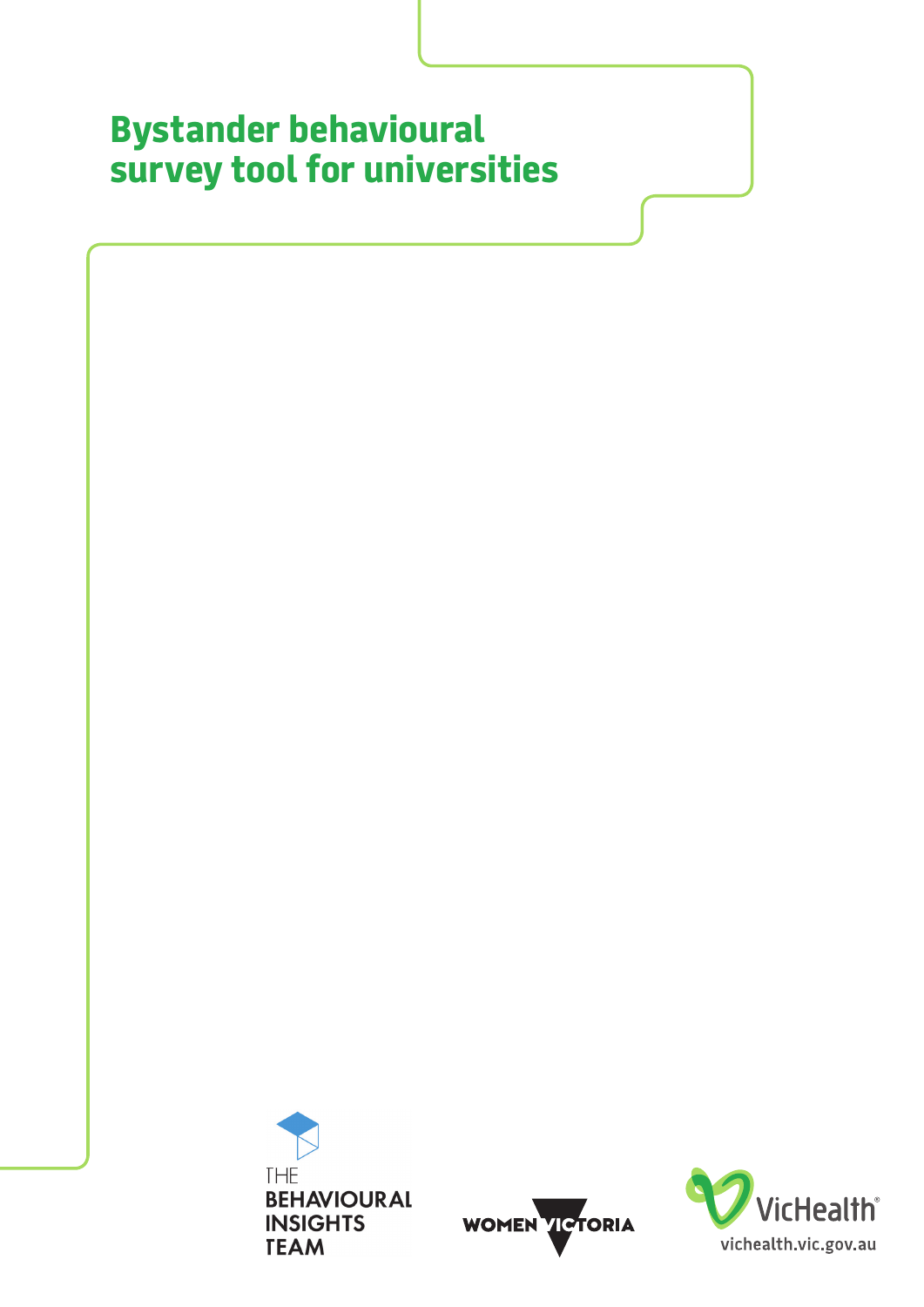# **Bystander behavioural survey tool for universities**





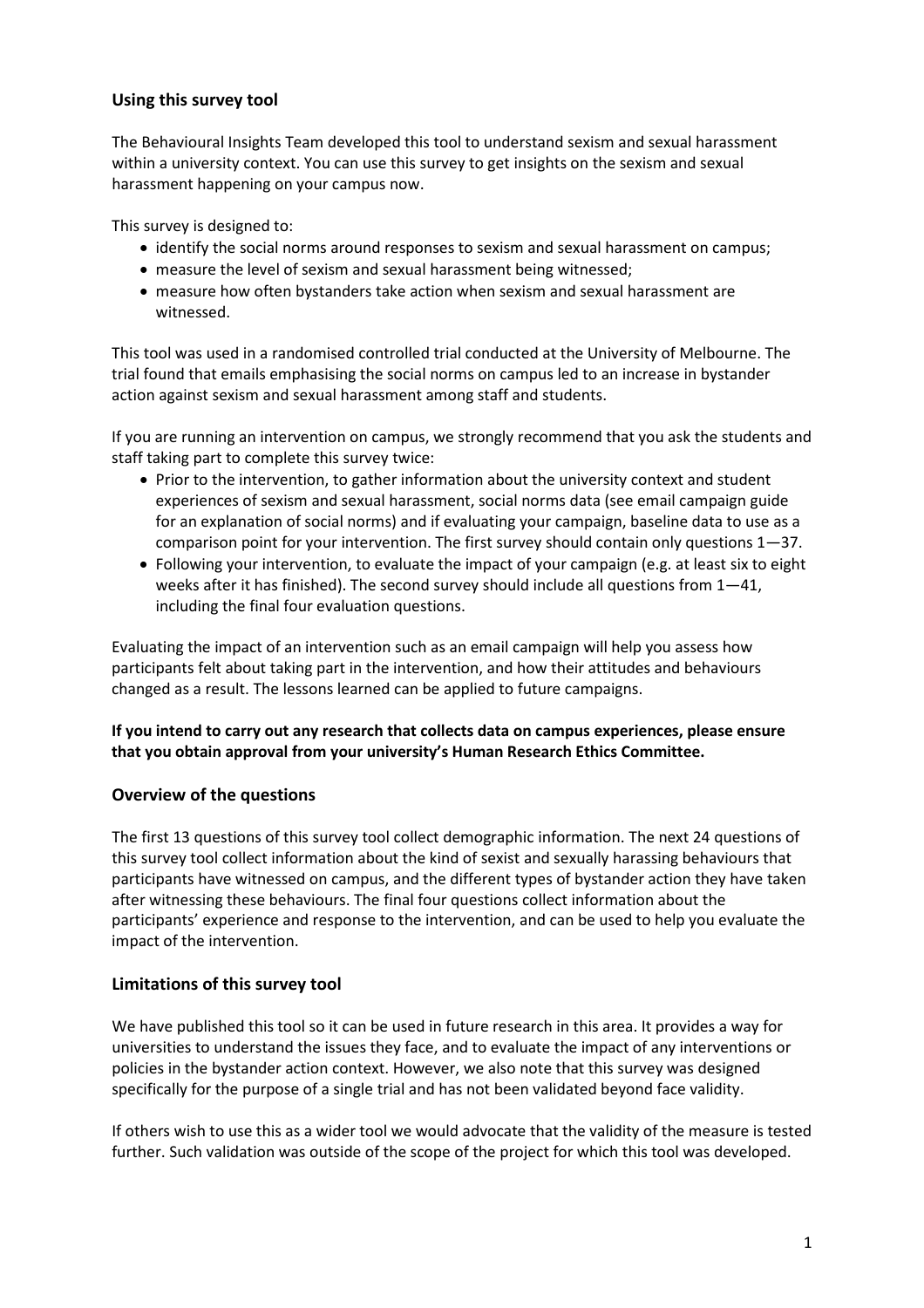# **Using this survey tool**

The Behavioural Insights Team developed this tool to understand sexism and sexual harassment within a university context. You can use this survey to get insights on the sexism and sexual harassment happening on your campus now.

This survey is designed to:

- identify the social norms around responses to sexism and sexual harassment on campus;
- measure the level of sexism and sexual harassment being witnessed;
- measure how often bystanders take action when sexism and sexual harassment are witnessed.

This tool was used in a randomised controlled trial conducted at the University of Melbourne. The trial found that emails emphasising the social norms on campus led to an increase in bystander action against sexism and sexual harassment among staff and students.

If you are running an intervention on campus, we strongly recommend that you ask the students and staff taking part to complete this survey twice:

- Prior to the intervention, to gather information about the university context and student experiences of sexism and sexual harassment, social norms data (see email campaign guide for an explanation of social norms) and if evaluating your campaign, baseline data to use as a comparison point for your intervention. The first survey should contain only questions 1—37.
- Following your intervention, to evaluate the impact of your campaign (e.g. at least six to eight weeks after it has finished). The second survey should include all questions from 1—41, including the final four evaluation questions.

Evaluating the impact of an intervention such as an email campaign will help you assess how participants felt about taking part in the intervention, and how their attitudes and behaviours changed as a result. The lessons learned can be applied to future campaigns.

# **If you intend to carry out any research that collects data on campus experiences, please ensure that you obtain approval from your university's Human Research Ethics Committee.**

# **Overview of the questions**

The first 13 questions of this survey tool collect demographic information. The next 24 questions of this survey tool collect information about the kind of sexist and sexually harassing behaviours that participants have witnessed on campus, and the different types of bystander action they have taken after witnessing these behaviours. The final four questions collect information about the participants' experience and response to the intervention, and can be used to help you evaluate the impact of the intervention.

# **Limitations of this survey tool**

We have published this tool so it can be used in future research in this area. It provides a way for universities to understand the issues they face, and to evaluate the impact of any interventions or policies in the bystander action context. However, we also note that this survey was designed specifically for the purpose of a single trial and has not been validated beyond face validity.

If others wish to use this as a wider tool we would advocate that the validity of the measure is tested further. Such validation was outside of the scope of the project for which this tool was developed.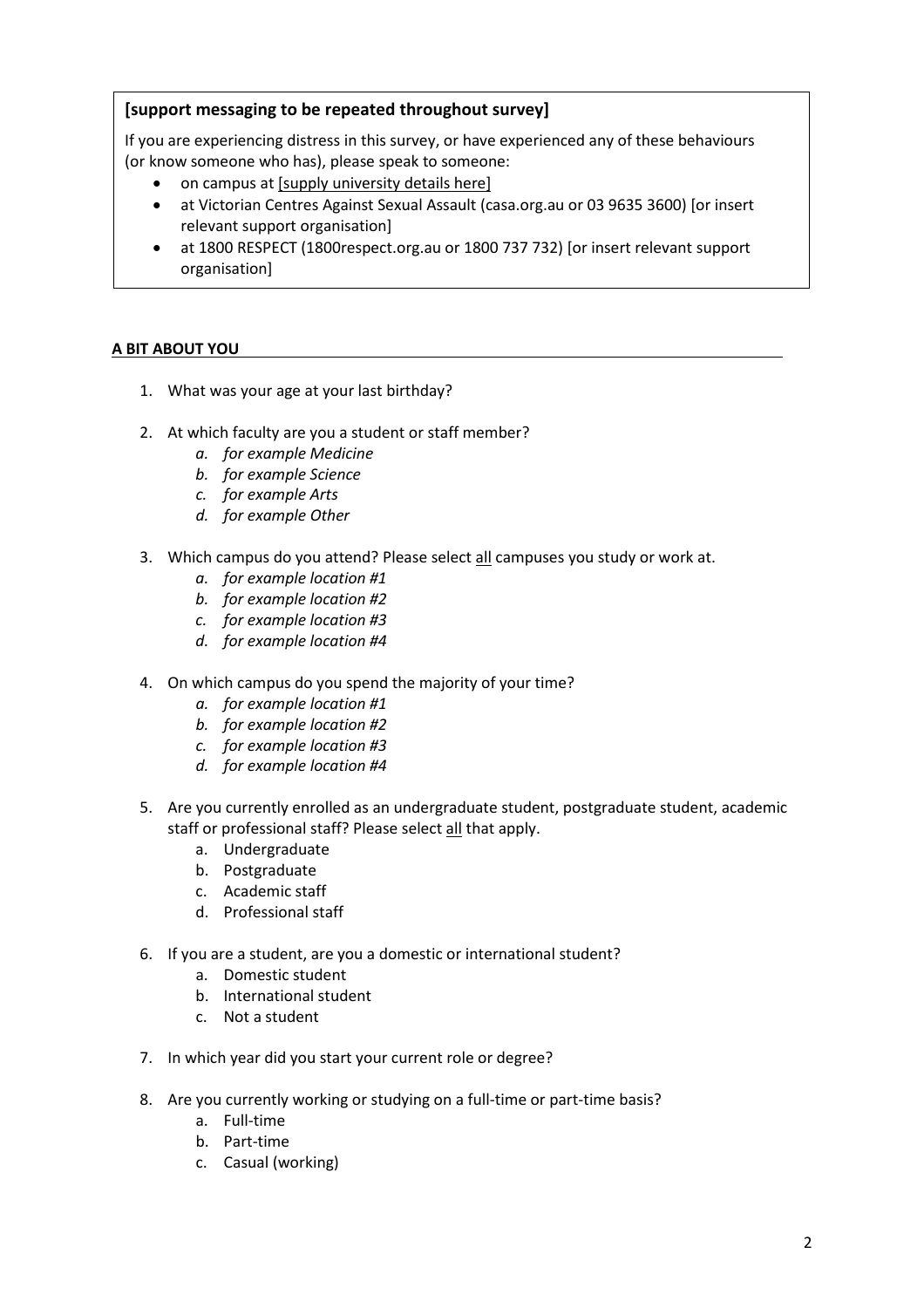# **[support messaging to be repeated throughout survey]**

If you are experiencing distress in this survey, or have experienced any of these behaviours (or know someone who has), please speak to someone:

- on campus at [supply university details here]
- at Victorian Centres Against Sexual Assault (casa.org.au or 03 9635 3600) [or insert relevant support organisation]
- at 1800 RESPECT (1800respect.org.au or 1800 737 732) [or insert relevant support organisation]

# **A BIT ABOUT YOU**

- 1. What was your age at your last birthday?
- 2. At which faculty are you a student or staff member?
	- *a. for example Medicine*
	- *b. for example Science*
	- *c. for example Arts*
	- *d. for example Other*
- 3. Which campus do you attend? Please select all campuses you study or work at.
	- *a. for example location #1*
	- *b. for example location #2*
	- *c. for example location #3*
	- *d. for example location #4*
- 4. On which campus do you spend the majority of your time?
	- *a. for example location #1*
	- *b. for example location #2*
	- *c. for example location #3*
	- *d. for example location #4*
- 5. Are you currently enrolled as an undergraduate student, postgraduate student, academic staff or professional staff? Please select all that apply.
	- a. Undergraduate
	- b. Postgraduate
	- c. Academic staff
	- d. Professional staff
- 6. If you are a student, are you a domestic or international student?
	- a. Domestic student
		- b. International student
		- c. Not a student
- 7. In which year did you start your current role or degree?
- 8. Are you currently working or studying on a full-time or part-time basis?
	- a. Full-time
	- b. Part-time
	- c. Casual (working)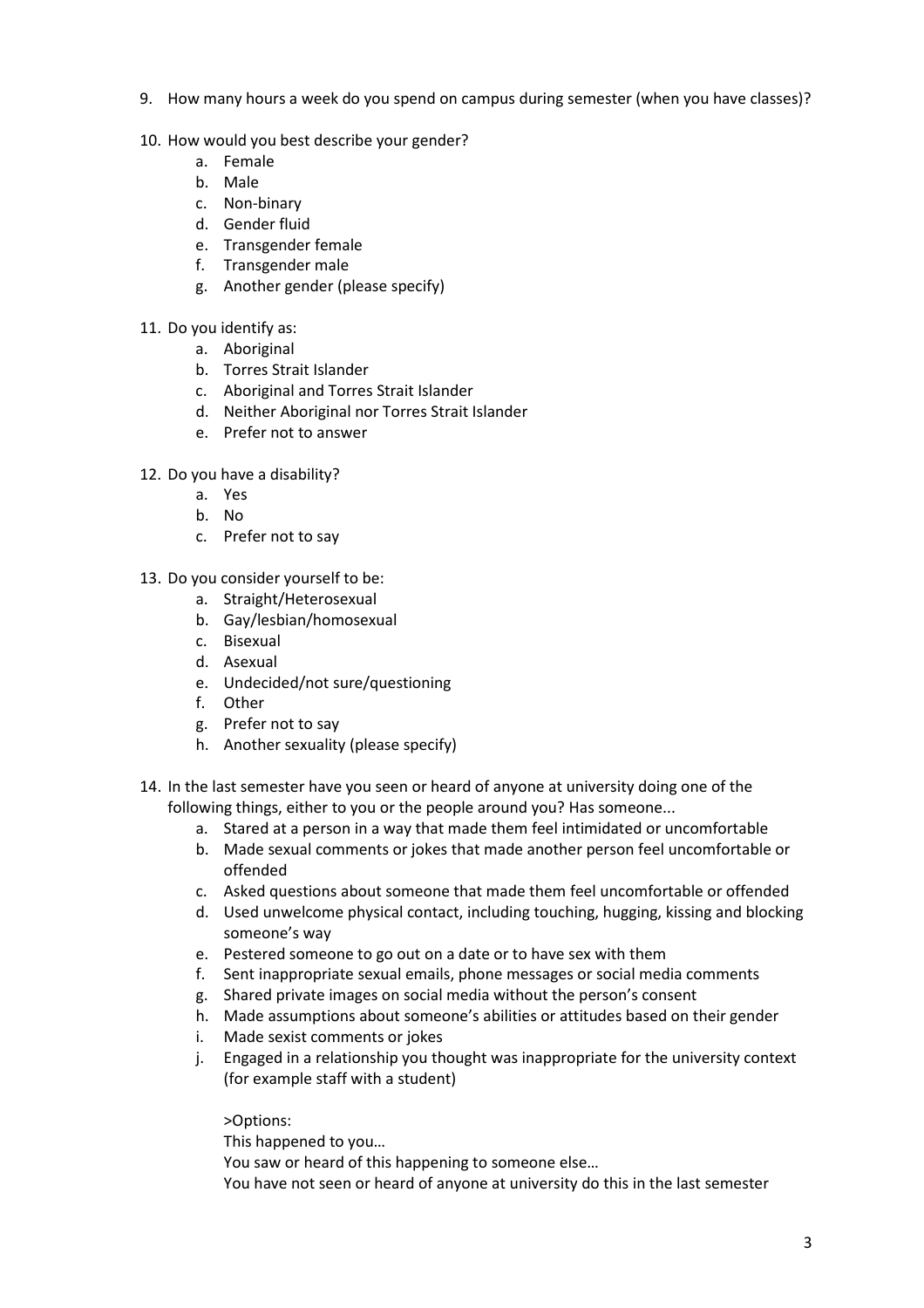- 9. How many hours a week do you spend on campus during semester (when you have classes)?
- 10. How would you best describe your gender?
	- a. Female
	- b. Male
	- c. Non-binary
	- d. Gender fluid
	- e. Transgender female
	- f. Transgender male
	- g. Another gender (please specify)
- 11. Do you identify as:
	- a. Aboriginal
		- b. Torres Strait Islander
		- c. Aboriginal and Torres Strait Islander
		- d. Neither Aboriginal nor Torres Strait Islander
		- e. Prefer not to answer
- 12. Do you have a disability?
	- a. Yes
	- b. No
	- c. Prefer not to say
- 13. Do you consider yourself to be:
	- a. Straight/Heterosexual
	- b. Gay/lesbian/homosexual
	- c. Bisexual
	- d. Asexual
	- e. Undecided/not sure/questioning
	- f. Other
	- g. Prefer not to say
	- h. Another sexuality (please specify)
- 14. In the last semester have you seen or heard of anyone at university doing one of the following things, either to you or the people around you? Has someone...
	- a. Stared at a person in a way that made them feel intimidated or uncomfortable
	- b. Made sexual comments or jokes that made another person feel uncomfortable or offended
	- c. Asked questions about someone that made them feel uncomfortable or offended
	- d. Used unwelcome physical contact, including touching, hugging, kissing and blocking someone's way
	- e. Pestered someone to go out on a date or to have sex with them
	- f. Sent inappropriate sexual emails, phone messages or social media comments
	- g. Shared private images on social media without the person's consent
	- h. Made assumptions about someone's abilities or attitudes based on their gender
	- i. Made sexist comments or jokes
	- j. Engaged in a relationship you thought was inappropriate for the university context (for example staff with a student)

>Options:

This happened to you…

You saw or heard of this happening to someone else…

You have not seen or heard of anyone at university do this in the last semester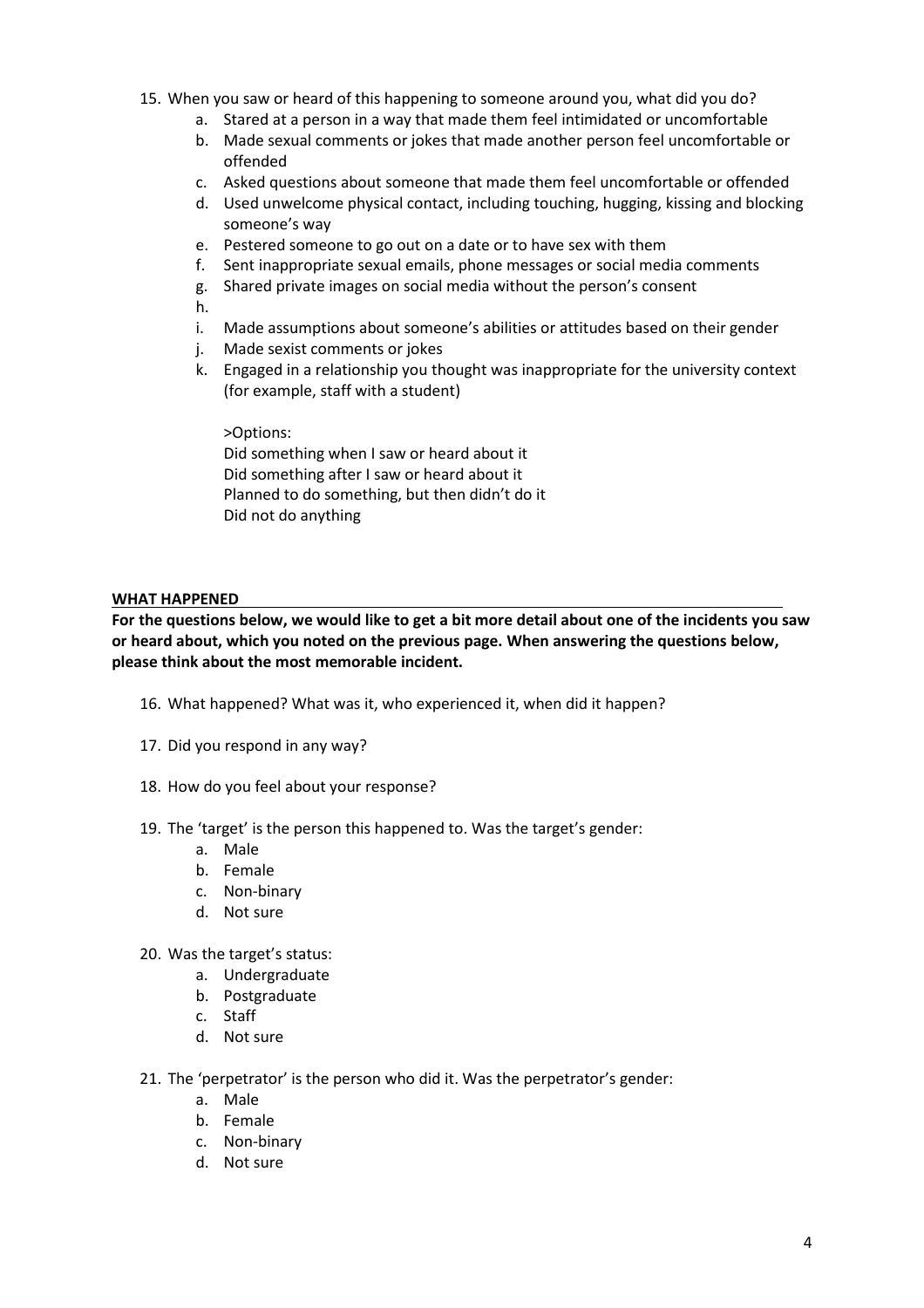- 15. When you saw or heard of this happening to someone around you, what did you do?
	- a. Stared at a person in a way that made them feel intimidated or uncomfortable
	- b. Made sexual comments or jokes that made another person feel uncomfortable or offended
	- c. Asked questions about someone that made them feel uncomfortable or offended
	- d. Used unwelcome physical contact, including touching, hugging, kissing and blocking someone's way
	- e. Pestered someone to go out on a date or to have sex with them
	- f. Sent inappropriate sexual emails, phone messages or social media comments
	- g. Shared private images on social media without the person's consent

h.

- i. Made assumptions about someone's abilities or attitudes based on their gender
- j. Made sexist comments or jokes
- k. Engaged in a relationship you thought was inappropriate for the university context (for example, staff with a student)

>Options: Did something when I saw or heard about it Did something after I saw or heard about it Planned to do something, but then didn't do it Did not do anything

### **WHAT HAPPENED**

**For the questions below, we would like to get a bit more detail about one of the incidents you saw or heard about, which you noted on the previous page. When answering the questions below, please think about the most memorable incident.**

- 16. What happened? What was it, who experienced it, when did it happen?
- 17. Did you respond in any way?
- 18. How do you feel about your response?
- 19. The 'target' is the person this happened to. Was the target's gender:
	- a. Male
	- b. Female
	- c. Non-binary
	- d. Not sure
- 20. Was the target's status:
	- a. Undergraduate
	- b. Postgraduate
	- c. Staff
	- d. Not sure
- 21. The 'perpetrator' is the person who did it. Was the perpetrator's gender:
	- a. Male
	- b. Female
	- c. Non-binary
	- d. Not sure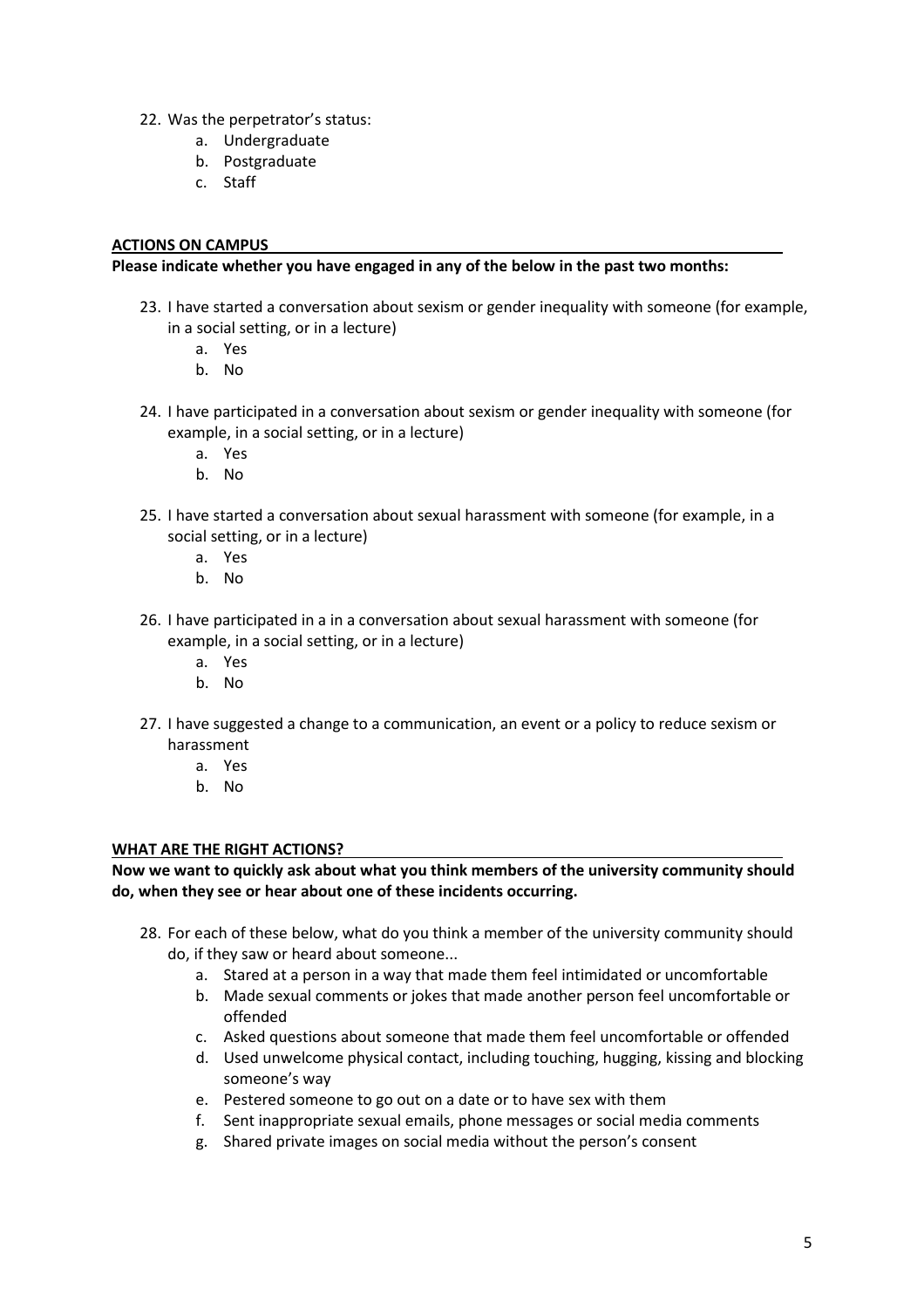- 22. Was the perpetrator's status:
	- a. Undergraduate
	- b. Postgraduate
	- c. Staff

## **ACTIONS ON CAMPUS**

#### **Please indicate whether you have engaged in any of the below in the past two months:**

- 23. I have started a conversation about sexism or gender inequality with someone (for example, in a social setting, or in a lecture)
	- a. Yes
	- b. No
- 24. I have participated in a conversation about sexism or gender inequality with someone (for example, in a social setting, or in a lecture)
	- a. Yes
	- b. No
- 25. I have started a conversation about sexual harassment with someone (for example, in a social setting, or in a lecture)
	- a. Yes
	- b. No
- 26. I have participated in a in a conversation about sexual harassment with someone (for example, in a social setting, or in a lecture)
	- a. Yes
	- b. No
- 27. I have suggested a change to a communication, an event or a policy to reduce sexism or harassment
	- a. Yes
	- b. No

### **WHAT ARE THE RIGHT ACTIONS?**

**Now we want to quickly ask about what you think members of the university community should do, when they see or hear about one of these incidents occurring.**

- 28. For each of these below, what do you think a member of the university community should do, if they saw or heard about someone...
	- a. Stared at a person in a way that made them feel intimidated or uncomfortable
	- b. Made sexual comments or jokes that made another person feel uncomfortable or offended
	- c. Asked questions about someone that made them feel uncomfortable or offended
	- d. Used unwelcome physical contact, including touching, hugging, kissing and blocking someone's way
	- e. Pestered someone to go out on a date or to have sex with them
	- f. Sent inappropriate sexual emails, phone messages or social media comments
	- g. Shared private images on social media without the person's consent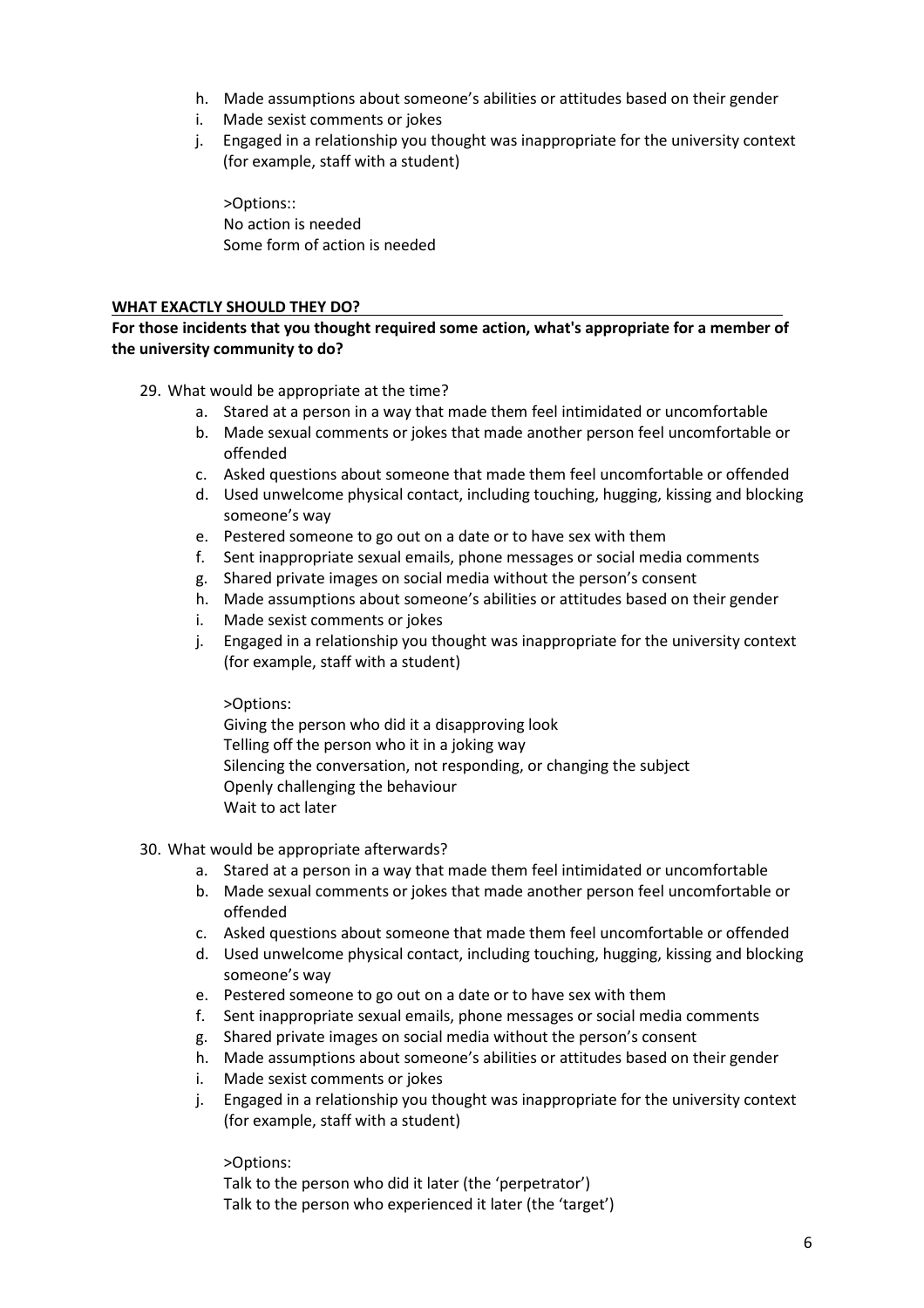- h. Made assumptions about someone's abilities or attitudes based on their gender
- i. Made sexist comments or jokes
- j. Engaged in a relationship you thought was inappropriate for the university context (for example, staff with a student)

>Options:: No action is needed Some form of action is needed

## **WHAT EXACTLY SHOULD THEY DO?**

## **For those incidents that you thought required some action, what's appropriate for a member of the university community to do?**

29. What would be appropriate at the time?

- a. Stared at a person in a way that made them feel intimidated or uncomfortable
- b. Made sexual comments or jokes that made another person feel uncomfortable or offended
- c. Asked questions about someone that made them feel uncomfortable or offended
- d. Used unwelcome physical contact, including touching, hugging, kissing and blocking someone's way
- e. Pestered someone to go out on a date or to have sex with them
- f. Sent inappropriate sexual emails, phone messages or social media comments
- g. Shared private images on social media without the person's consent
- h. Made assumptions about someone's abilities or attitudes based on their gender
- i. Made sexist comments or jokes
- j. Engaged in a relationship you thought was inappropriate for the university context (for example, staff with a student)

### >Options:

Giving the person who did it a disapproving look Telling off the person who it in a joking way Silencing the conversation, not responding, or changing the subject Openly challenging the behaviour Wait to act later

# 30. What would be appropriate afterwards?

- a. Stared at a person in a way that made them feel intimidated or uncomfortable
- b. Made sexual comments or jokes that made another person feel uncomfortable or offended
- c. Asked questions about someone that made them feel uncomfortable or offended
- d. Used unwelcome physical contact, including touching, hugging, kissing and blocking someone's way
- e. Pestered someone to go out on a date or to have sex with them
- f. Sent inappropriate sexual emails, phone messages or social media comments
- g. Shared private images on social media without the person's consent
- h. Made assumptions about someone's abilities or attitudes based on their gender
- i. Made sexist comments or jokes
- j. Engaged in a relationship you thought was inappropriate for the university context (for example, staff with a student)

>Options:

Talk to the person who did it later (the 'perpetrator') Talk to the person who experienced it later (the 'target')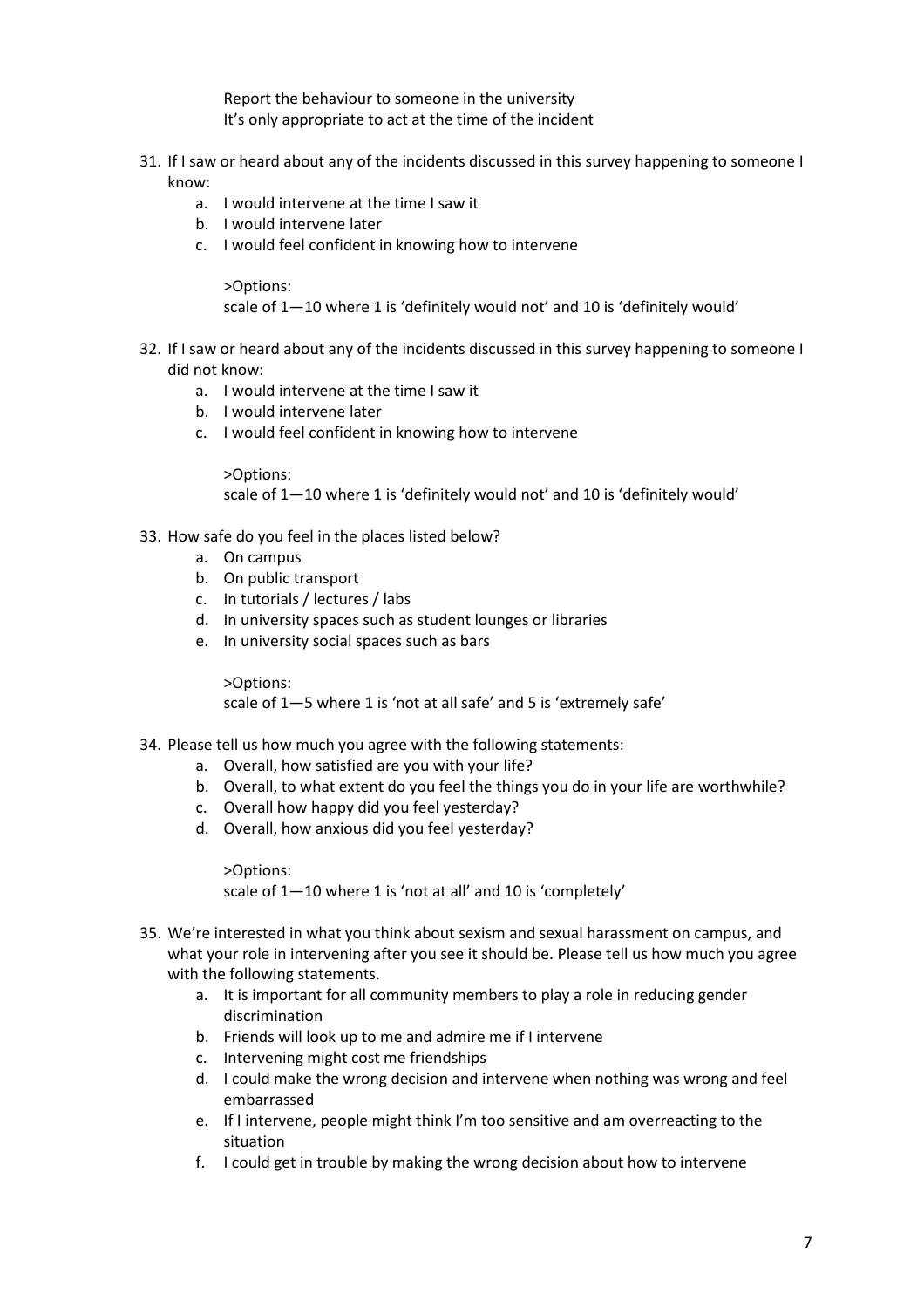Report the behaviour to someone in the university It's only appropriate to act at the time of the incident

- 31. If I saw or heard about any of the incidents discussed in this survey happening to someone I know:
	- a. I would intervene at the time I saw it
	- b. I would intervene later
	- c. I would feel confident in knowing how to intervene

>Options:

scale of 1—10 where 1 is 'definitely would not' and 10 is 'definitely would'

- 32. If I saw or heard about any of the incidents discussed in this survey happening to someone I did not know:
	- a. I would intervene at the time I saw it
	- b. I would intervene later
	- c. I would feel confident in knowing how to intervene

>Options:

scale of 1—10 where 1 is 'definitely would not' and 10 is 'definitely would'

- 33. How safe do you feel in the places listed below?
	- a. On campus
	- b. On public transport
	- c. In tutorials / lectures / labs
	- d. In university spaces such as student lounges or libraries
	- e. In university social spaces such as bars

>Options: scale of 1—5 where 1 is 'not at all safe' and 5 is 'extremely safe'

- 34. Please tell us how much you agree with the following statements:
	- a. Overall, how satisfied are you with your life?
	- b. Overall, to what extent do you feel the things you do in your life are worthwhile?
	- c. Overall how happy did you feel yesterday?
	- d. Overall, how anxious did you feel yesterday?

>Options: scale of 1—10 where 1 is 'not at all' and 10 is 'completely'

- 35. We're interested in what you think about sexism and sexual harassment on campus, and what your role in intervening after you see it should be. Please tell us how much you agree with the following statements.
	- a. It is important for all community members to play a role in reducing gender discrimination
	- b. Friends will look up to me and admire me if I intervene
	- c. Intervening might cost me friendships
	- d. I could make the wrong decision and intervene when nothing was wrong and feel embarrassed
	- e. If I intervene, people might think I'm too sensitive and am overreacting to the situation
	- f. I could get in trouble by making the wrong decision about how to intervene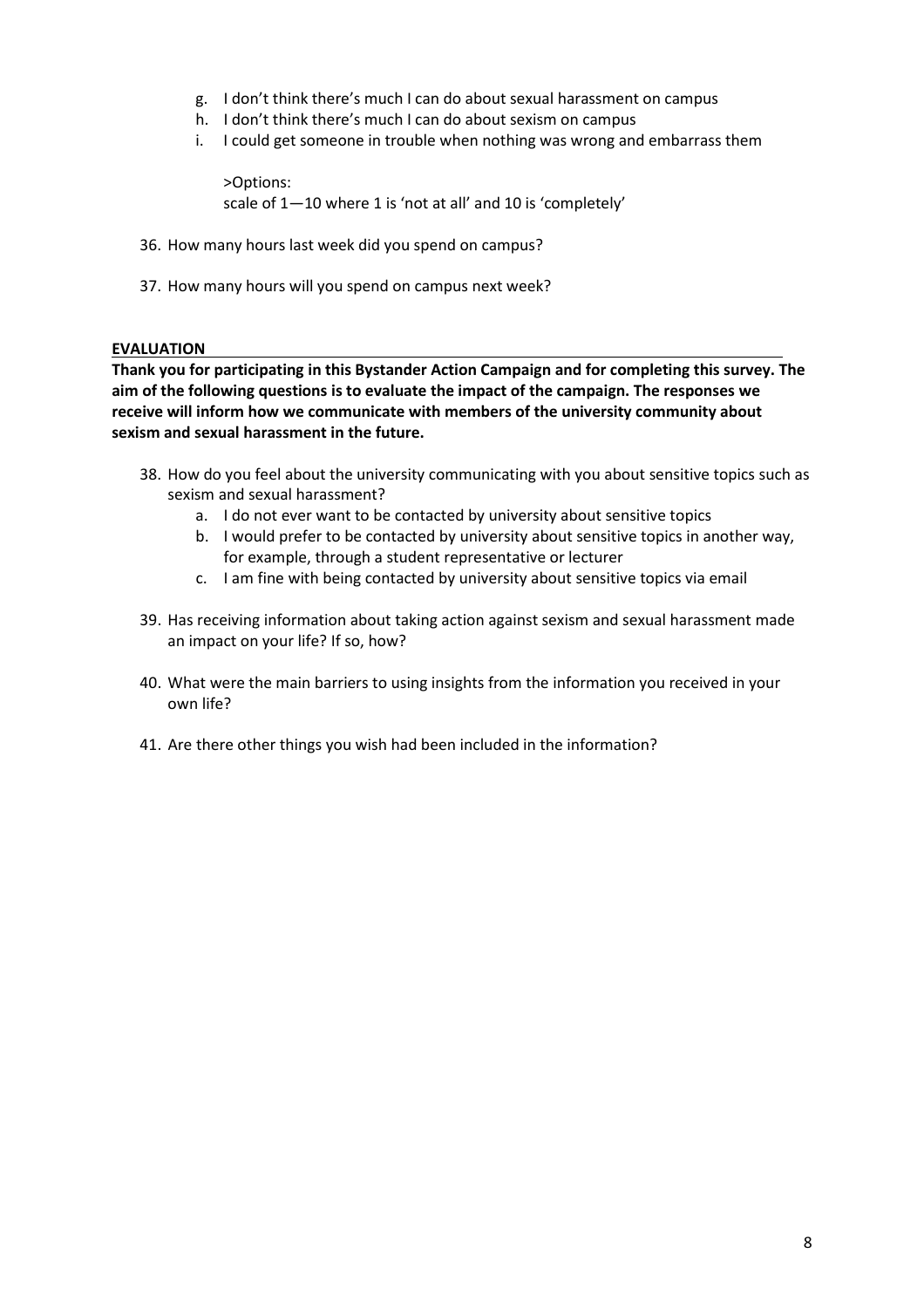- g. I don't think there's much I can do about sexual harassment on campus
- h. I don't think there's much I can do about sexism on campus
- i. I could get someone in trouble when nothing was wrong and embarrass them

>Options: scale of 1—10 where 1 is 'not at all' and 10 is 'completely'

- 36. How many hours last week did you spend on campus?
- 37. How many hours will you spend on campus next week?

#### **EVALUATION**

**Thank you for participating in this Bystander Action Campaign and for completing this survey. The aim of the following questions is to evaluate the impact of the campaign. The responses we receive will inform how we communicate with members of the university community about sexism and sexual harassment in the future.**

- 38. How do you feel about the university communicating with you about sensitive topics such as sexism and sexual harassment?
	- a. I do not ever want to be contacted by university about sensitive topics
	- b. I would prefer to be contacted by university about sensitive topics in another way, for example, through a student representative or lecturer
	- c. I am fine with being contacted by university about sensitive topics via email
- 39. Has receiving information about taking action against sexism and sexual harassment made an impact on your life? If so, how?
- 40. What were the main barriers to using insights from the information you received in your own life?
- 41. Are there other things you wish had been included in the information?